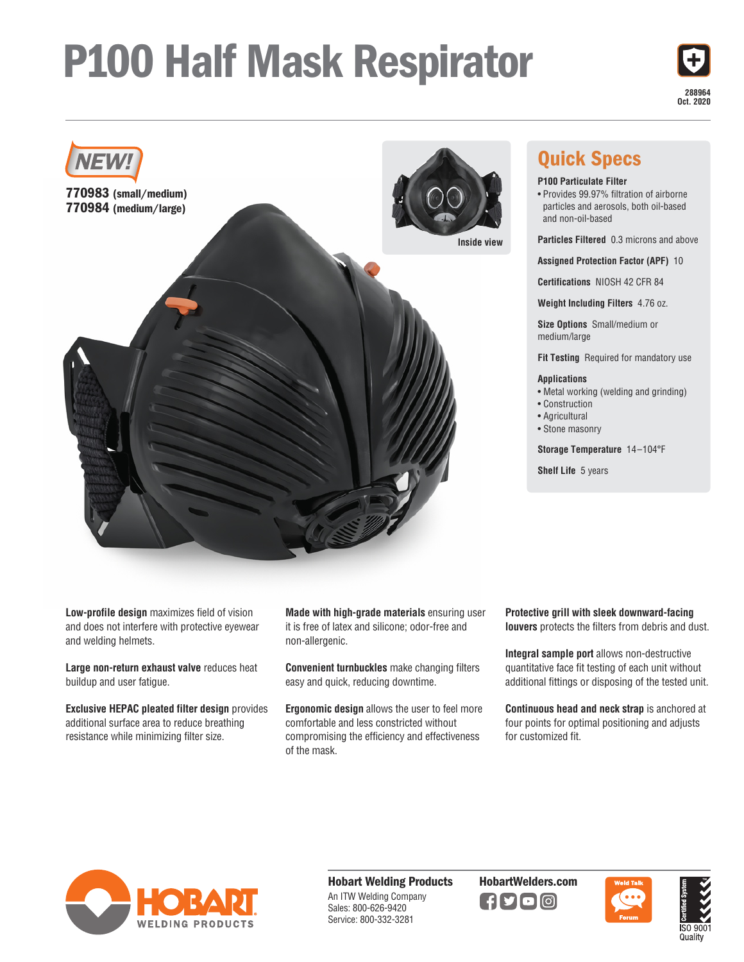# **P100 Half Mask Respirator**





## **Quick Specs**

#### **P100 Particulate Filter**

• Provides 99.97% filtration of airborne particles and aerosols, both oil-based and non-oil-based

**Particles Filtered** 0.3 microns and above

**Assigned Protection Factor (APF)** 10

**Certifications** NIOSH 42 CFR 84

**Weight Including Filters** 4.76 oz.

**Size Options** Small/medium or medium/large

**Fit Testing** Required for mandatory use

#### **Applications**

- Metal working (welding and grinding)
- Construction
- Agricultural
- Stone masonry

**Storage Temperature** 14–104°F

**Shelf Life** 5 years

**Low-profile design** maximizes field of vision and does not interfere with protective eyewear and welding helmets.

**Large non-return exhaust valve** reduces heat buildup and user fatigue.

**Exclusive HEPAC pleated filter design** provides additional surface area to reduce breathing resistance while minimizing filter size.

**Made with high-grade materials** ensuring user it is free of latex and silicone; odor-free and non-allergenic.

**Convenient turnbuckles** make changing filters easy and quick, reducing downtime.

**Ergonomic design** allows the user to feel more comfortable and less constricted without compromising the efficiency and effectiveness of the mask.

**Protective grill with sleek downward-facing louvers** protects the filters from debris and dust.

**Integral sample port** allows non-destructive quantitative face fit testing of each unit without additional fittings or disposing of the tested unit.

**Continuous head and neck strap** is anchored at four points for optimal positioning and adjusts for customized fit.



### **Hobart Welding Products**

An ITW Welding Company Sales: 800-626-9420 Service: 800-332-3281

## **HobartWelders.com**